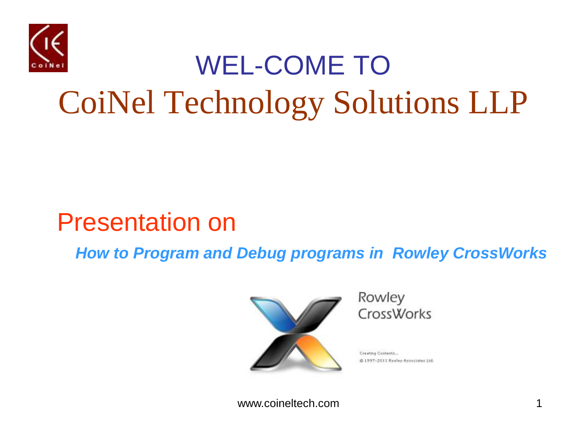

#### WEL-COME TO CoiNel Technology Solutions LLP

#### Presentation on

 *How to Program and Debug programs in Rowley CrossWorks*



Rowley **CrossWorks** 

Creating Contents @ 1997-2011 Rowley Associates Ltd.

www.coineltech.com 1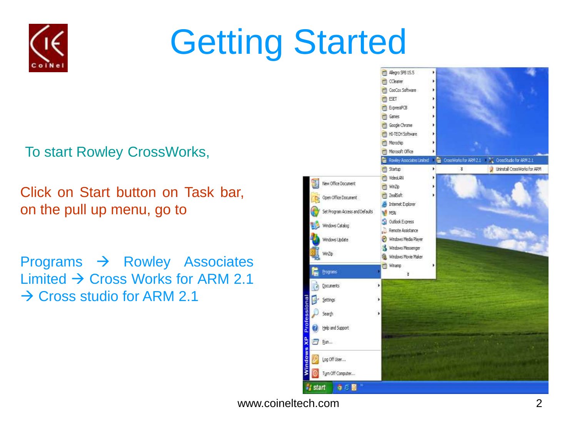

## Getting Started

To start Rowley CrossWorks,

Click on Start button on Task bar, on the pull up menu, go to

Programs  $\rightarrow$  Rowley Associates Limited  $\rightarrow$  Cross Works for ARM 2.1  $\rightarrow$  Cross studio for ARM 2.1

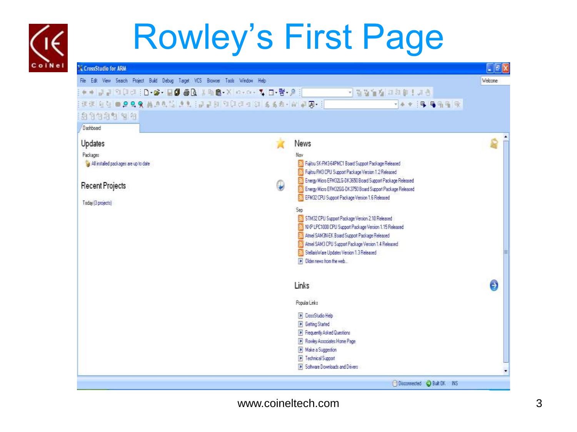## Rowley's First Page

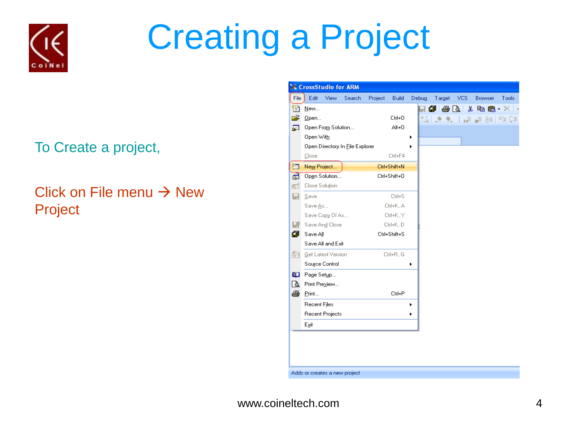

## Creating a Project

#### To Create a project,

#### Click on File menu  $\rightarrow$  New Project

|      | CrossStudio for ARM |      |                                 |         |              |       |        |      |                                                                               |       |
|------|---------------------|------|---------------------------------|---------|--------------|-------|--------|------|-------------------------------------------------------------------------------|-------|
| File | Edit                | View | Search                          | Project | <b>Build</b> | Debug | Target | VCS. | Browser                                                                       | Tools |
| ħ    | New                 |      |                                 |         |              |       | ø      |      | $\bigoplus$ $\bigcirc$ $\downarrow$ to $\bigoplus$ $\cdot$ $\times$ $\bigcup$ |       |
| É    | Open                |      |                                 |         | Ctrl+0       |       | 编之     |      | <b>B. INFORMATION</b>                                                         |       |
| 厦    | Open From Solution  |      |                                 |         | Alt+0        |       |        |      |                                                                               |       |
|      | Open With           |      |                                 |         |              |       |        |      |                                                                               |       |
|      |                     |      | Open Directory In File Explorer |         |              |       |        |      |                                                                               |       |
|      | Close               |      |                                 |         | Ctrl+F4      |       |        |      |                                                                               |       |
| 'n   | New Project         |      |                                 |         | Ctrl+Shift+N |       |        |      |                                                                               |       |
| пÓ   | Open Solution       |      |                                 |         | Ctrl+Shift+0 |       |        |      |                                                                               |       |
| 酊    | Close Solution      |      |                                 |         |              |       |        |      |                                                                               |       |
| e.   | Save                |      |                                 |         | Ctrl+S       |       |        |      |                                                                               |       |
|      | Save As             |      |                                 |         | Ctrl+K, A    |       |        |      |                                                                               |       |
|      | Save Copy Of As     |      |                                 |         | Ctrl+K, Y    |       |        |      |                                                                               |       |
| Е.   | Save And Close      |      |                                 |         | Ctrl+K, D    |       |        |      |                                                                               |       |
| 団    | Save All            |      |                                 |         | Ctrl+Shift+S |       |        |      |                                                                               |       |
|      | Save All and Exit   |      |                                 |         |              |       |        |      |                                                                               |       |
| 兡    | Get Latest Version  |      |                                 |         | Ctrl+R, G    |       |        |      |                                                                               |       |
|      | Source Control      |      |                                 |         |              | ٠     |        |      |                                                                               |       |
| മ    | Page Setup          |      |                                 |         |              |       |        |      |                                                                               |       |
| વિ   | Print Preview       |      |                                 |         |              |       |        |      |                                                                               |       |
| ê    | Print               |      |                                 |         | Ctrl+P       |       |        |      |                                                                               |       |
|      | Recent Files        |      |                                 |         |              |       |        |      |                                                                               |       |
|      | Recent Projects     |      |                                 |         |              | ▶     |        |      |                                                                               |       |
|      | Exit                |      |                                 |         |              |       |        |      |                                                                               |       |
|      |                     |      |                                 |         |              |       |        |      |                                                                               |       |
|      |                     |      |                                 |         |              |       |        |      |                                                                               |       |
|      |                     |      |                                 |         |              |       |        |      |                                                                               |       |

Adds or creates a new project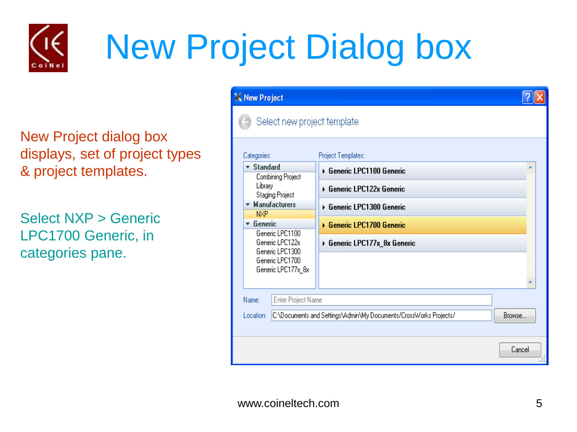

## New Project Dialog box

New Project dialog box displays, set of project types & project templates.

Select NXP > Generic LPC1700 Generic, in categories pane.

| X New Project                                         |                    |                                                                   |        |
|-------------------------------------------------------|--------------------|-------------------------------------------------------------------|--------|
|                                                       |                    | Select new project template                                       |        |
| Categories:                                           |                    | Project Templates:                                                |        |
| <b>Standard</b><br>▼.<br>Combining Project            |                    | ▶ Generic LPC1100 Generic                                         |        |
| Library<br>Staging Project                            |                    | ▶ Generic LPC122x Generic                                         |        |
| <b>Manufacturers</b><br><b>N<sub>XP</sub></b>         |                    | ▶ Generic LPC1300 Generic                                         |        |
| Generic<br>v.                                         |                    | ▶ Generic LPC1700 Generic                                         |        |
| Generic LPC1100<br>Generic LPC122x<br>Generic LPC1300 |                    | ▶ Generic LPC177x_8x Generic                                      |        |
| Generic LPC1700                                       |                    |                                                                   |        |
| Generic LPC177x_8x                                    |                    |                                                                   |        |
| Name:                                                 | Enter Project Name |                                                                   |        |
| Location:                                             |                    | C:\Documents and Settings\Admin\My Documents/CrossWorks Projects/ | Browse |
|                                                       |                    |                                                                   |        |
|                                                       |                    |                                                                   | Cancel |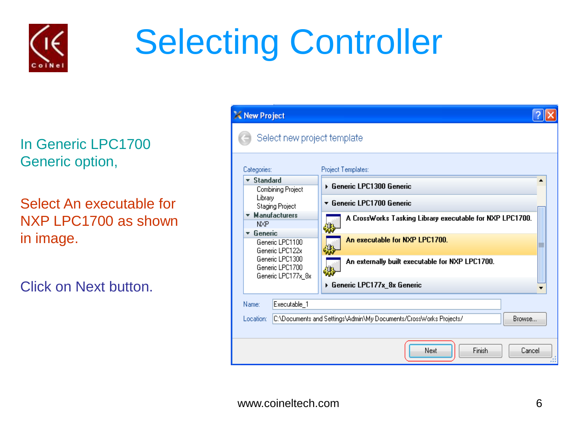

## Selecting Controller

In Generic LPC1700 Generic option,

Select An executable for NXP LPC1700 as shown in image.

Click on Next button.

| X New Project                                                            |                                                                             |
|--------------------------------------------------------------------------|-----------------------------------------------------------------------------|
| Select new project template                                              |                                                                             |
| Categories:                                                              | Project Templates:                                                          |
| $\blacktriangledown$ Standard<br>Combining Project                       | ▶ Generic LPC1300 Generic                                                   |
| Library<br><b>Staging Project</b>                                        | $\star$ Generic LPC1700 Generic                                             |
| <b>Manufacturers</b><br>$\mathbf{v}$<br><b>N<sub>XP</sub></b>            | A CrossWorks Tasking Library executable for NXP LPC1700.<br>鎜               |
| Generic<br>$\overline{\mathbf{v}}$<br>Generic LPC1100<br>Generic LPC122x | An executable for NXP LPC1700.                                              |
| Generic LPC1300<br>Generic LPC1700                                       | An externally built executable for NXP LPC1700.                             |
| Generic LPC177x_8x                                                       | ▶ Generic LPC177x_8x Generic                                                |
| Executable_1<br>Name:                                                    |                                                                             |
| Location:                                                                | C:\Documents and Settings\Admin\My Documents/CrossWorks Projects/<br>Browse |
|                                                                          |                                                                             |
|                                                                          | Next<br>Finish<br>Cancel                                                    |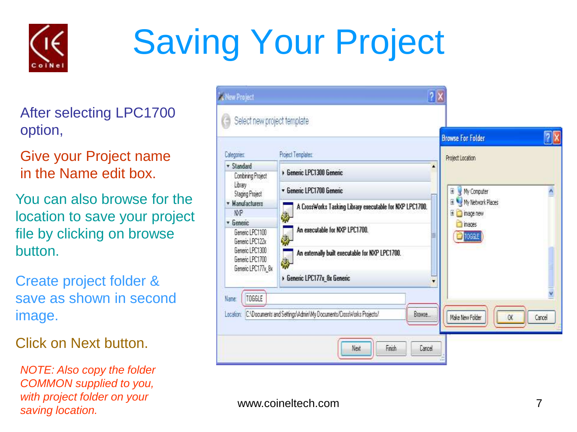

# Saving Your Project

After selecting LPC1700 option,

Give your Project name in the Name edit box.

You can also browse for the location to save your project file by clicking on browse button.

Create project folder & save as shown in second image.

Click on Next button

*NOTE: Also copy the folder COMMON supplied to you, with project folder on your saving location.*

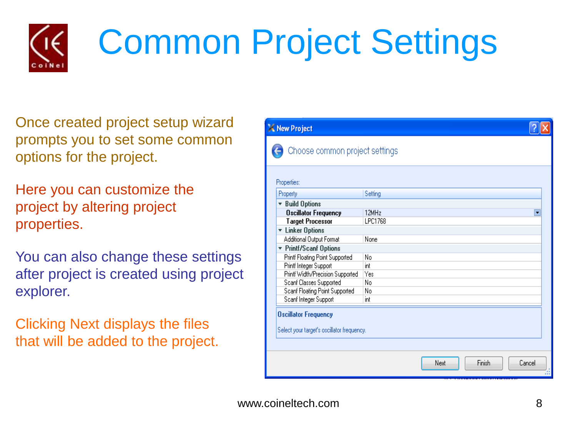

## Common Project Settings

Once created project setup wizard prompts you to set some common options for the project.

Here you can customize the project by altering project properties.

You can also change these settings after project is created using project explorer.

Clicking Next displays the files that will be added to the project.

|                                                                           | X New Project                    |                |        |  |  |  |
|---------------------------------------------------------------------------|----------------------------------|----------------|--------|--|--|--|
|                                                                           | Choose common project settings   |                |        |  |  |  |
|                                                                           | Properties:                      |                |        |  |  |  |
|                                                                           | Property                         | Setting        |        |  |  |  |
|                                                                           | ▼ Build Options                  |                |        |  |  |  |
|                                                                           | <b>Oscillator Frequency</b>      | 12MHz          | ٠      |  |  |  |
|                                                                           | <b>Target Processor</b>          | LPC1768        |        |  |  |  |
|                                                                           | <b>v</b> Linker Options          |                |        |  |  |  |
|                                                                           | Additional Output Format         | None           |        |  |  |  |
|                                                                           | ▼ Printf/Scanf Options           |                |        |  |  |  |
|                                                                           | Printf Floating Point Supported  | No             |        |  |  |  |
|                                                                           | Printf Integer Support           | int            |        |  |  |  |
|                                                                           | Printf Width/Precision Supported | Yes            |        |  |  |  |
|                                                                           | Scanf Classes Supported          | No             |        |  |  |  |
|                                                                           | Scanf Floating Point Supported   | No             |        |  |  |  |
|                                                                           | Scanf Integer Support            | int            |        |  |  |  |
| <b>Oscillator Frequency</b><br>Select your target's oscillator frequency. |                                  |                |        |  |  |  |
|                                                                           |                                  | Finish<br>Next | Cancel |  |  |  |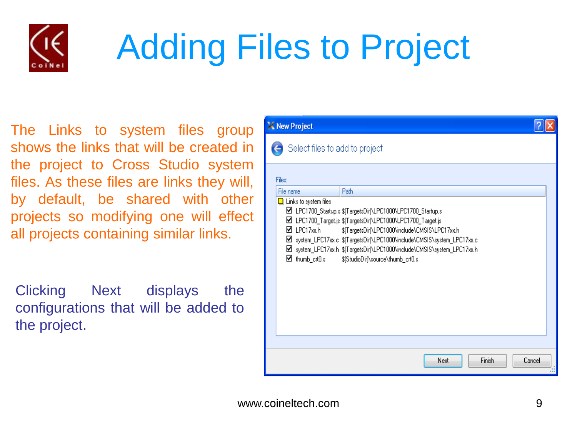

## Adding Files to Project

The Links to system files group shows the links that will be created in the project to Cross Studio system files. As these files are links they will, by default, be shared with other projects so modifying one will effect all projects containing similar links.

Clicking Next displays the configurations that will be added to the project.

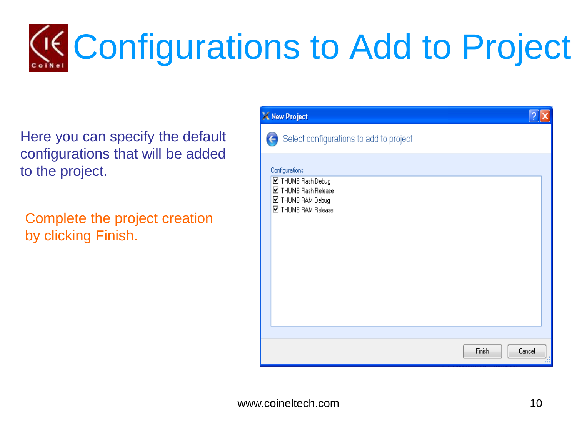# Configurations to Add to Project

Here you can specify the default configurations that will be added to the project.

Complete the project creation by clicking Finish.

| X New Project   |                                            |        |               |
|-----------------|--------------------------------------------|--------|---------------|
|                 | Select configurations to add to project    |        |               |
| Configurations: | ■ THUMB Flash Debug                        |        |               |
|                 | ■ THUMB Flash Release<br>■ THUMB RAM Debug |        |               |
|                 | ■ THUMB RAM Release                        |        |               |
|                 |                                            |        |               |
|                 |                                            |        |               |
|                 |                                            |        |               |
|                 |                                            |        |               |
|                 |                                            |        |               |
|                 |                                            |        |               |
|                 |                                            |        |               |
|                 |                                            | Finish | Cancel<br>TH. |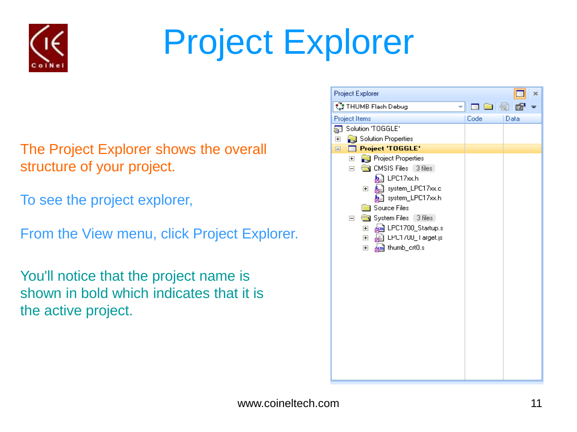

## Project Explorer

- The Project Explorer shows the overall structure of your project.
- To see the project explorer,
- From the View menu, click Project Explorer.
- You'll notice that the project name is shown in bold which indicates that it is the active project.

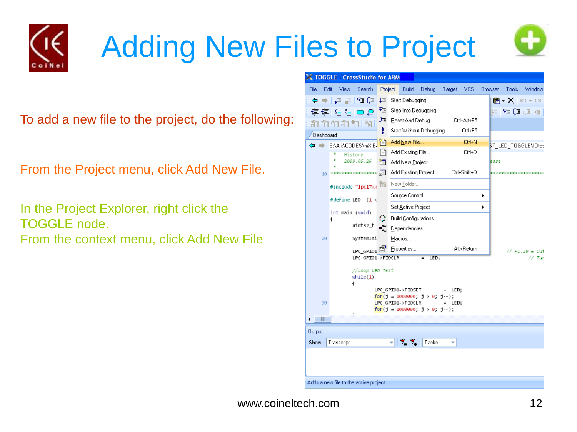

## Adding New Files to Project

To add a new file to the project, do the following:

From the Project menu, click Add New File.

In the Project Explorer, right click the TOGGLE node. From the context menu, click Add New File





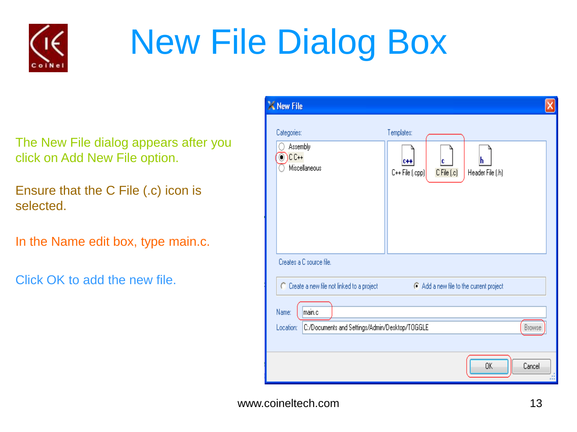

## New File Dialog Box

The New File dialog appears after you click on Add New File option.

Ensure that the C File (.c) icon is selected.

In the Name edit box, type main.c.

Click OK to add the new file.

| X New File                                                                               |                                                                                       |  |  |  |  |  |
|------------------------------------------------------------------------------------------|---------------------------------------------------------------------------------------|--|--|--|--|--|
| Categories:<br>Assembly<br>$CC++$<br>Miscellaneous                                       | Templates:<br>c<br>$0 + 4$<br>h<br>C++ File (.cpp)<br>C File (.c)<br>Header File (.h) |  |  |  |  |  |
| Creates a C source file.                                                                 |                                                                                       |  |  |  |  |  |
| C Create a new file not linked to a project                                              | C Add a new file to the current project                                               |  |  |  |  |  |
| main.c<br>Name:<br>Browse<br>C:/Documents and Settings/Admin/Desktop/TOGGLE<br>Location: |                                                                                       |  |  |  |  |  |
|                                                                                          | 0K<br>Cancel<br>Ш                                                                     |  |  |  |  |  |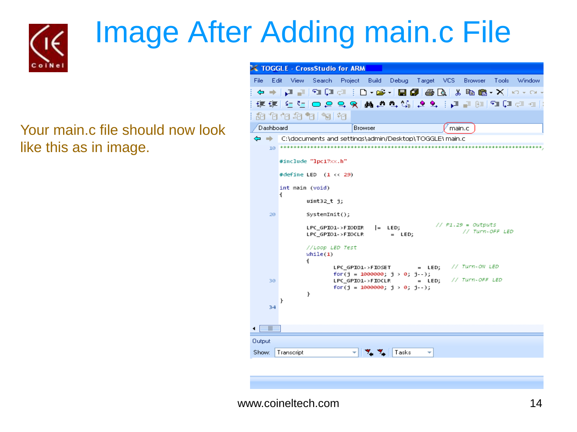

### Image After Adding main.c File

Your main.c file should now look like this as in image.

| <b>TOGGLE - CrossStudio for ARM</b> |                                                              |                                                         |                                                         |
|-------------------------------------|--------------------------------------------------------------|---------------------------------------------------------|---------------------------------------------------------|
| Edit<br>- View<br>File              | Search                                                       | Project Build Debug Target VCS Browser                  | Tools Window                                            |
|                                     |                                                              |                                                         | ⇔ → │,⊒  P∃ (∃ ∷ □ ) ∙⊯ √ B @   @ @ \ X @ @ ∙ X   ∽ ∼ ∼ |
|                                     |                                                              |                                                         | 로로[던덕]ㅁ요 및 K M M M M M M M M M 프로비즈 테크                  |
| 和伯伯和帕阿帕                             |                                                              |                                                         |                                                         |
| Dashboard                           | Browser                                                      |                                                         | main.c                                                  |
| ⇔⇒                                  | C:\documents_and_settings\admin/Desktop\TOGGLE\ main.c       |                                                         |                                                         |
|                                     |                                                              |                                                         |                                                         |
| #include "lpc17xx.h"                |                                                              |                                                         |                                                         |
|                                     | #define LED $(1 \leftrightarrow 29)$                         |                                                         |                                                         |
| int main (void)                     |                                                              |                                                         |                                                         |
| ſ                                   | uint32_t_j;                                                  |                                                         |                                                         |
| 20                                  | $SystemInit()$ ;                                             |                                                         |                                                         |
|                                     | $LPC_GPTO1 \rightarrow FIODIR$ $= LED;$<br>LPC GPIO1->FIOCLR | $=$ LED;                                                | // P1.29 = Outputs<br>// Turn-OFF LED                   |
| €                                   | //Loop LED Test<br>while(1)                                  |                                                         |                                                         |
|                                     |                                                              | $LPC_GPIO1\rightarrow FIOSET$ = $LED$ ; // $Turn-ONLED$ |                                                         |
| 30                                  | for(j = 1000000; j > 0; j -);<br>LPC GPIO1->FIOCLR           | $=$ LED; // Turn-OFF LED                                |                                                         |
| ŀ                                   | for(j = $1000000$ ; j > 0; j - );                            |                                                         |                                                         |
| Ł<br>34                             |                                                              |                                                         |                                                         |
|                                     |                                                              |                                                         |                                                         |
| HII                                 |                                                              |                                                         |                                                         |
| Output                              |                                                              |                                                         |                                                         |
| Show:<br>Transcript                 |                                                              | Tasks                                                   |                                                         |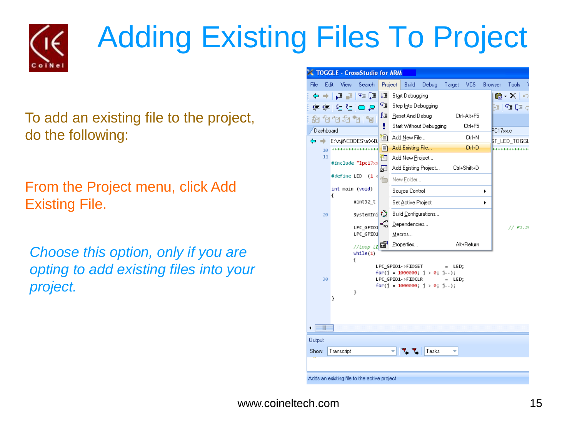

### Adding Existing Files To Project

To add an existing file to the project, do the following:

From the Project menu, click Add Existing File.

*Choose this option, only if you are opting to add existing files into your project.*

|                                                                                                                                                          |                                               | <b>TOGGLE - CrossStudio for ARM</b>          |         |                                         |       |        |              |                |                                   |  |
|----------------------------------------------------------------------------------------------------------------------------------------------------------|-----------------------------------------------|----------------------------------------------|---------|-----------------------------------------|-------|--------|--------------|----------------|-----------------------------------|--|
| File<br>Edit                                                                                                                                             | View                                          | Search                                       | Project | Build                                   | Debug | Target | <b>VCS</b>   | <b>Browser</b> | Tools                             |  |
| ⇔                                                                                                                                                        | → 다르                                          | 93 (3                                        | ‡≣      | Start Debugging                         |       |        |              |                | 12 - A                            |  |
| 镇镇                                                                                                                                                       | $\mathbf{C}_{\equiv}$ , $\mathbf{C}_{\equiv}$ |                                              | ণ≣      | Step Into Debugging                     |       |        |              |                | Na Pa Ca c                        |  |
| 絈                                                                                                                                                        | 伯伯的阿阿                                         |                                              | ₽₫.     | Reset And Debug                         |       |        | Ctrl+Alt+F5  |                |                                   |  |
| Dashboard                                                                                                                                                |                                               |                                              | ţ       | Start Without Debugging                 |       |        | Ctrl+F5      |                | PC17xx.c                          |  |
| ಆ<br>⇒                                                                                                                                                   | E:\Ajit\CODES\mX-B-                           |                                              | t       | Add New File                            |       |        | Ctrl+N       |                | BT_LED_TOGGL                      |  |
| 10                                                                                                                                                       |                                               | skalde kalenkalde kalenkalde kalenkalde kale | l≡ì     | Add Existing File                       |       |        | Ctrl+D       |                | de leikslokskeideleide kalenkalen |  |
| 11                                                                                                                                                       |                                               | #include "lpc17xx                            | ੈਸ<br>Æ | Add New Project<br>Add Existing Project |       |        | Ctrl+Shift+D |                |                                   |  |
|                                                                                                                                                          | #define LED                                   | $(1 \leq$                                    |         | New Folder                              |       |        |              |                |                                   |  |
|                                                                                                                                                          | int main (void)<br>ſ                          |                                              |         | Source Control                          |       |        |              | ٠              |                                   |  |
|                                                                                                                                                          |                                               | uint32_t                                     |         | Set Active Project                      |       |        |              | ٠              |                                   |  |
| 20                                                                                                                                                       |                                               | SystemIni <sup>{</sup>                       |         | Build Configurations                    |       |        |              |                |                                   |  |
|                                                                                                                                                          |                                               | LPC GPIO1                                    | Ç,      | Dependencies                            |       |        |              |                | // P1.25                          |  |
|                                                                                                                                                          |                                               | LPC_GPI01                                    |         | Macros                                  |       |        |              |                |                                   |  |
|                                                                                                                                                          |                                               | $\frac{1}{2}$ $\frac{1}{2}$<br>while(1)      |         | Properties                              |       |        | Alt+Return   |                |                                   |  |
| ſ<br>LPC GPIO1->FIOSET<br>LED;<br>$=$<br>for(j = 1000000; j > 0; j - );<br>LPC GPIO1->FIOCLR<br>30<br>LED;<br>$=$<br>for(j = 1000000; j > 0; j - );<br>ŀ |                                               |                                              |         |                                         |       |        |              |                |                                   |  |
|                                                                                                                                                          | ŀ                                             |                                              |         |                                         |       |        |              |                |                                   |  |
| $\overline{\mathbb{I}}$<br>۰                                                                                                                             |                                               |                                              |         |                                         |       |        |              |                |                                   |  |
| Output                                                                                                                                                   |                                               |                                              |         |                                         |       |        |              |                |                                   |  |
| Show:                                                                                                                                                    | Transcript                                    |                                              |         |                                         | Tasks |        |              |                |                                   |  |
|                                                                                                                                                          |                                               | Adds an existing file to the active project  |         |                                         |       |        |              |                |                                   |  |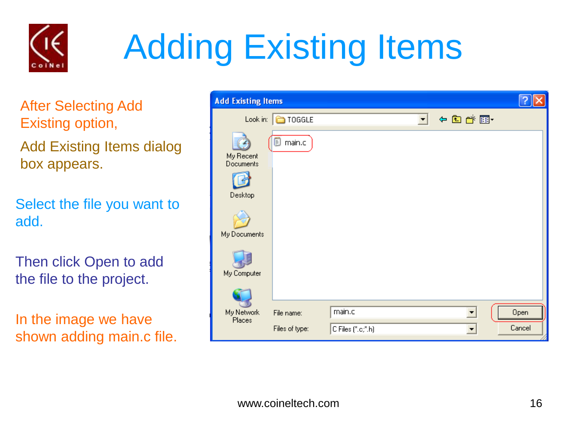

## Adding Existing Items

After Selecting Add Existing option,

Add Existing Items dialog box appears.

Select the file you want to add.

Then click Open to add the file to the project.

In the image we have shown adding main.c file.

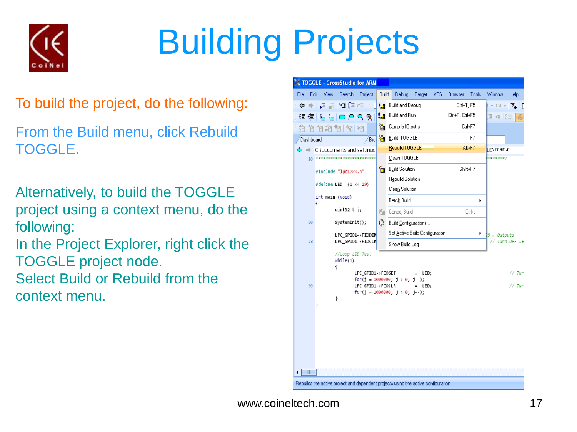

# Building Projects

- To build the project, do the following:
- From the Build menu, click Rebuild TOGGLE.
- Alternatively, to build the TOGGLE project using a context menu, do the following:
- In the Project Explorer, right click the TOGGLE project node.
- Select Build or Rebuild from the context menu.

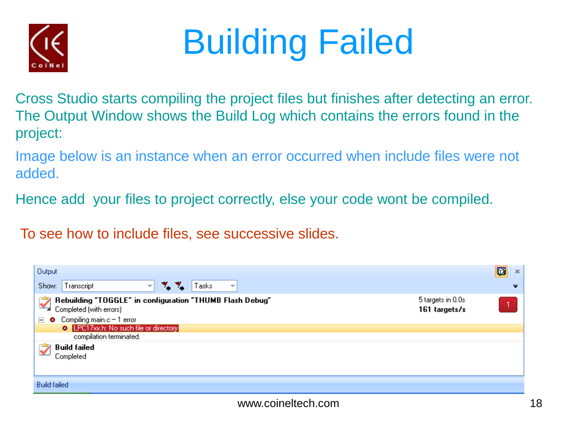

## Building Failed

Cross Studio starts compiling the project files but finishes after detecting an error. The Output Window shows the Build Log which contains the errors found in the project:

Image below is an instance when an error occurred when include files were not added.

Hence add your files to project correctly, else your code wont be compiled.

To see how to include files, see successive slides.

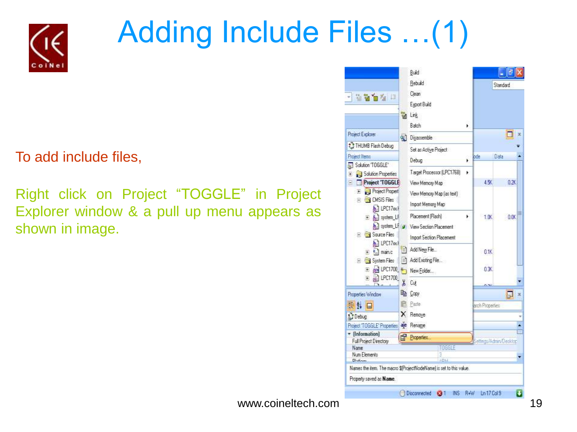

### Adding Include Files …(1)

To add include files,

Right click on Project "TOGGLE" in Project Explorer window & a pull up menu appears as shown in image.

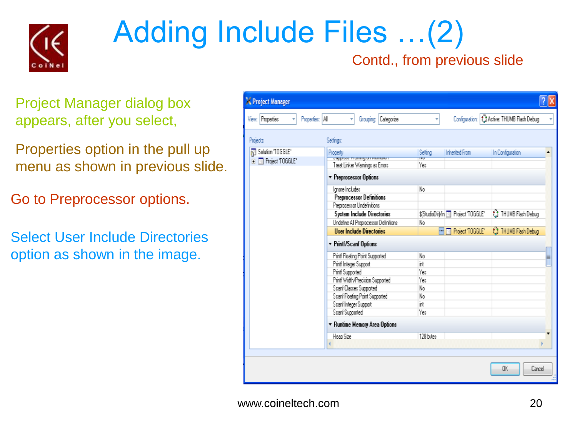

### Adding Include Files …(2)

#### Contd., from previous slide

Project Manager dialog box appears, after you select,

Properties option in the pull up menu as shown in previous slide.

Go to Preprocessor options.

Select User Include Directories option as shown in the image.

| Project Manager                     |                                       |           |                                              |                                           |   |
|-------------------------------------|---------------------------------------|-----------|----------------------------------------------|-------------------------------------------|---|
| Properties: All<br>View: Properties | Grouping Categorize                   |           |                                              | Configuration: CActive: THUMB Flash Debug |   |
| Projects:                           | Settings:                             |           |                                              |                                           |   |
| Solution "TOGGLE"                   | <b>Property</b>                       | Setting   | Inherited From                               | In Configuration                          |   |
| Project TOGGLE'<br>$\overline{+}$   | ээрхээ тагждаглалаан                  | repr      |                                              |                                           |   |
|                                     | Treat Linker Warnings as Errors       | Yes       |                                              |                                           |   |
|                                     | · Preprocessor Options                |           |                                              |                                           |   |
|                                     | Ignore Includes                       | No        |                                              |                                           |   |
|                                     | Preprocessor Definitions              |           |                                              |                                           |   |
|                                     | Preprocessor Undefinitions            |           |                                              |                                           |   |
|                                     | System Include Directories            |           | \$(StudioDir)/in <b>Big</b> Project "TOGGLE" | O THUMB Flash Debug                       |   |
|                                     | Undefine All Preprocessor Definitions | No        |                                              |                                           |   |
|                                     | <b>User Include Directories</b>       |           | <b>THE Project TOGGLE</b>                    | <b>We THUMB Flash Debug</b>               |   |
|                                     | ▼ Printf/Scanf Options                |           |                                              |                                           |   |
|                                     | Printf Floating Point Supported       | No        |                                              |                                           | ≣ |
|                                     | Printf Integer Support                | int       |                                              |                                           |   |
|                                     | Printi Supported                      | Yes       |                                              |                                           |   |
|                                     | Printi Width/Precision Supported      | Yes       |                                              |                                           |   |
|                                     | Scanf Classes Supported               | No        |                                              |                                           |   |
|                                     | Scanf Floating Point Supported        | No        |                                              |                                           |   |
|                                     | Scanf Integer Support                 | int       |                                              |                                           |   |
|                                     | Scanf Supported                       | Yes       |                                              |                                           |   |
|                                     | ▼ Runtime Memory Area Options         |           |                                              |                                           |   |
|                                     | Heap Size                             | 128 butes |                                              |                                           |   |
|                                     |                                       |           |                                              |                                           |   |
|                                     |                                       |           |                                              |                                           |   |
|                                     |                                       |           |                                              |                                           |   |
|                                     |                                       |           |                                              | 0K<br>Cancel                              |   |
|                                     |                                       |           |                                              |                                           |   |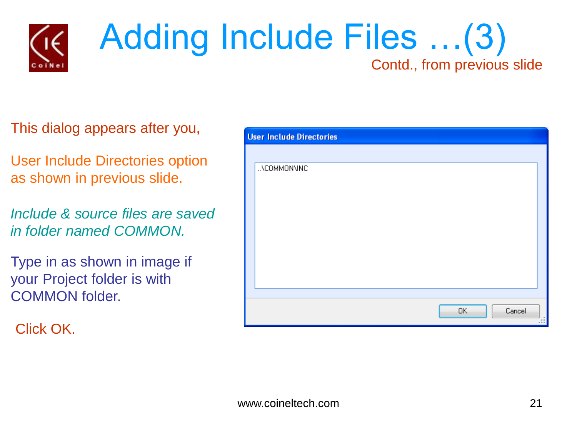

#### Adding Include Files …(3) Contd., from previous slide

This dialog appears after you,

User Include Directories option as shown in previous slide.

*Include & source files are saved in folder named COMMON.*

Type in as shown in image if your Project folder is with COMMON folder.

Click OK.

| <b>User Include Directories</b> |
|---------------------------------|
|                                 |
| \COMMON\INC                     |
|                                 |
|                                 |
|                                 |
|                                 |
|                                 |
|                                 |
|                                 |
|                                 |
| OK.<br>Cancel<br>ш              |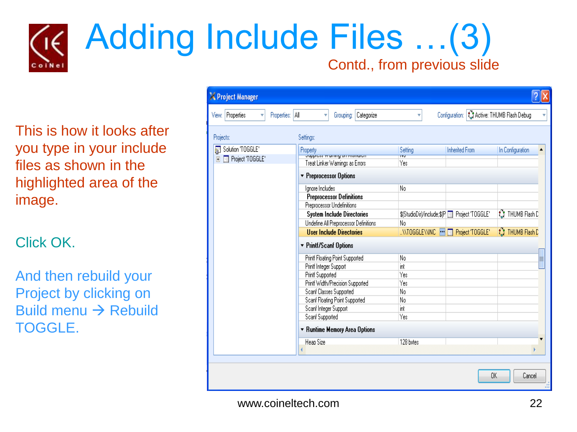

This is how it looks after you type in your include files as shown in the highlighted area of the image.

Click OK.

And then rebuild your Project by clicking on Build menu  $\rightarrow$  Rebuild TOGGLE.

| Project Manager                          |                                       |                                     |                                             |        |
|------------------------------------------|---------------------------------------|-------------------------------------|---------------------------------------------|--------|
| Properties: All<br>View: Properties<br>v | Grouping: Categorize<br>v             | Ÿ                                   | Configuration: 3. Active: THUMB Flash Debug |        |
| Projects:                                | Settings:                             |                                     |                                             |        |
| Solution 'TOGGLE'                        | Property                              | Setting                             | <b>Inherited From</b><br>In Configuration   | ▲      |
| Project 'TOGGLE'<br>$\overline{+}$       | <b>Juppress wurning on mismuter</b>   | πū                                  |                                             |        |
|                                          | Treat Linker Warnings as Errors       | Yes                                 |                                             |        |
|                                          | ▼ Preprocessor Options                |                                     |                                             |        |
|                                          | Ignore Includes                       | No                                  |                                             |        |
|                                          | <b>Preprocessor Definitions</b>       |                                     |                                             |        |
|                                          | Preprocessor Undefinitions            |                                     |                                             |        |
|                                          | <b>System Include Directories</b>     |                                     | ९ THUMB Flash D                             |        |
|                                          | Undefine All Preprocessor Definitions | No                                  |                                             |        |
|                                          | <b>User Include Directories</b>       | \\TOGGLE\\INC FI & Project 'TOGGLE' | ₹ THUMB Flash D                             |        |
|                                          | ▼ Printf/Scanf Options                |                                     |                                             |        |
|                                          | Printf Floating Point Supported       | No                                  |                                             | E      |
|                                          | Printf Integer Support                | int                                 |                                             |        |
|                                          | Printf Supported                      | Yes                                 |                                             |        |
|                                          | Printf Width/Precision Supported      | Yes                                 |                                             |        |
|                                          | Scanf Classes Supported               | No                                  |                                             |        |
|                                          | Scanf Floating Point Supported        | No                                  |                                             |        |
|                                          | Scanf Integer Support                 | int                                 |                                             |        |
|                                          | Scanf Supported                       | Yes                                 |                                             |        |
|                                          | ▼ Runtime Memory Area Options         |                                     |                                             |        |
|                                          | Heap Size                             | 128 bytes                           |                                             |        |
|                                          |                                       |                                     |                                             |        |
|                                          |                                       |                                     |                                             |        |
|                                          |                                       |                                     |                                             |        |
|                                          |                                       |                                     | 0K                                          | Cancel |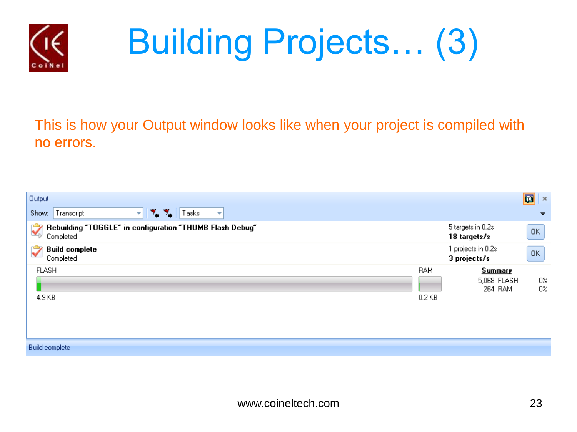

# Building Projects… (3)

This is how your Output window looks like when your project is compiled with no errors.

| Output                                                                                          |                        |                                          | 网<br>$\mathbf{x}$       |
|-------------------------------------------------------------------------------------------------|------------------------|------------------------------------------|-------------------------|
| ٧.<br>Transcript<br>Tasks<br>Show:<br>٧.<br>٠                                                   |                        |                                          | $\overline{\mathbf{v}}$ |
| Rebuilding "TOGGLE" in configuration "THUMB Flash Debug"<br>$\vec{\blacktriangle}$<br>Completed |                        | 5 targets in 0.2s<br>18 targets/s        | 0K                      |
| <b>Build complete</b><br>$\tilde{\blacktriangledown}$<br>Completed                              |                        | 1 projects in 0.2s.<br>3 projects/s      | 0K                      |
| <b>FLASH</b><br>4.9 KB                                                                          | <b>BAM</b><br>$0.2$ KB | <b>Summary</b><br>5,068 FLASH<br>264 RAM | $0\%$<br>$0\%$          |

**Build complete**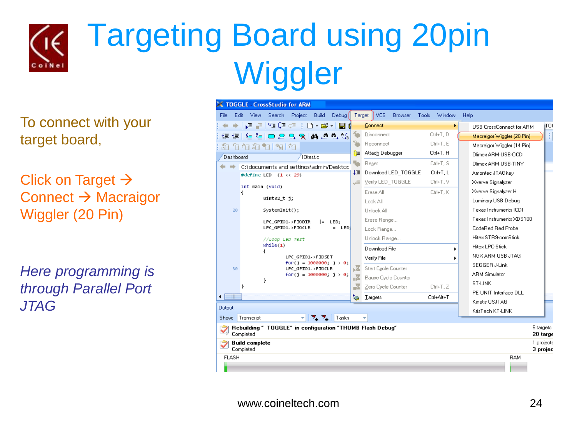

## Targeting Board using 20pin **Wiggler**

To connect with your target board,

Click on Target  $\rightarrow$ Connect  $\rightarrow$  Macraigor Wiggler (20 Pin)

*Here programming is through Parallel Port JTAG*

| TOGGLE - CrossStudio for ARM                                                                    |                                                     |                           |                                         |                     |                                         |  |  |  |  |  |
|-------------------------------------------------------------------------------------------------|-----------------------------------------------------|---------------------------|-----------------------------------------|---------------------|-----------------------------------------|--|--|--|--|--|
| File                                                                                            | Edit<br>View<br>Search<br>Project<br>Build<br>Debug | Target                    | <b>VCS</b><br><b>Browser</b><br>Tools   | Window              | Help                                    |  |  |  |  |  |
|                                                                                                 | Q Z PIQ ⊂   D ∙ @ ∙   ∏ (<br>⇒∃                     |                           | Connect                                 |                     | TO(<br>USB CrossConnect for ARM         |  |  |  |  |  |
|                                                                                                 | 建建 生生○夏乌叉 繭の型鏡                                      | Ą.                        | Disconnect                              | Ctrl+T, D           | ŧ<br>Macraigor Wiggler (20 Pin)         |  |  |  |  |  |
|                                                                                                 | 相怕怕相怕 倒帕                                            | 擎                         | Reconnect                               | Ctrl+T, E           | Macraigor Wiggler [14 Pin]              |  |  |  |  |  |
| Dashboard                                                                                       | I0test.c                                            | ਇ⊟                        | Attach Debugger                         | Ctrl+T, H           | Olimex ARM-USB-OCD                      |  |  |  |  |  |
|                                                                                                 | C:\documents and settings\admin/Desktop             | ÷                         | Reset                                   | Olimex ARM-USB-TINY |                                         |  |  |  |  |  |
|                                                                                                 | #define LED $(1 \leftrightarrow 29)$                | ‡≣<br>Æ<br>ъX<br>п×<br>P) | Download LED_TOGGLE                     | Ctrl+T, L           | Amontec JTAGkev                         |  |  |  |  |  |
|                                                                                                 | int main (void)                                     |                           | Verify LED TOGGLE                       | Ctrl+T, V           | Xverve Signalyzer                       |  |  |  |  |  |
|                                                                                                 | ſ                                                   |                           | Erase All                               | Ctrl+T.K            | Xverve Signalyzer H                     |  |  |  |  |  |
|                                                                                                 | $uint32_t j;$                                       |                           | Lock All                                |                     | Luminary USB Debug                      |  |  |  |  |  |
| 20                                                                                              | SystemInit();                                       |                           | Unlock All                              |                     | Texas Instruments ICDI                  |  |  |  |  |  |
|                                                                                                 | LPC GPIO1->FIODIR<br>$=$ LED;                       |                           | Erase Range                             |                     | Texas Instruments XDS100                |  |  |  |  |  |
|                                                                                                 | LPC GPIO1->FIOCLR<br>LED:<br>$=$                    |                           | Lock Range                              |                     | CodeRed Red Probe                       |  |  |  |  |  |
|                                                                                                 | //Loop LED Test                                     |                           | Unlock Range                            |                     | Hitex STR9-comStick                     |  |  |  |  |  |
|                                                                                                 | while(1)<br>ſ                                       |                           | Download File                           | ь                   | <b>Hitex LPC-Stick</b>                  |  |  |  |  |  |
|                                                                                                 | LPC GPIO1->FIOSET                                   |                           | Verify File<br>٠<br>Start Cycle Counter |                     | NGX ARM USB JTAG                        |  |  |  |  |  |
| 30                                                                                              | for(i = $1000000$ ; i > 0;<br>LPC GPIO1->FIOCLR     |                           |                                         |                     | SEGGER J-Link                           |  |  |  |  |  |
|                                                                                                 | for(i = $1000000$ ; i > 0;<br>}                     |                           | Pause Cycle Counter                     |                     | <b>ARM Simulator</b>                    |  |  |  |  |  |
|                                                                                                 | ŀ                                                   |                           | Zero Cycle Counter                      | $Ctrl+T,Z$          | ST-LINK                                 |  |  |  |  |  |
| $\overline{\mathbb{H}}$<br>٠                                                                    |                                                     | ۱ò                        | Targets                                 | Ctrl+Alt+T          | PE UNIT Interface DLL<br>Kinetis OSJTAG |  |  |  |  |  |
| Output                                                                                          |                                                     |                           |                                         |                     | KrisTech KT-LINK                        |  |  |  |  |  |
| Show:                                                                                           | Transcript<br>Tasks                                 |                           |                                         |                     |                                         |  |  |  |  |  |
| Rebuilding ~ TOGGLE" in configuration "THUMB Flash Debug"<br>6 targets<br>Completed<br>20 targe |                                                     |                           |                                         |                     |                                         |  |  |  |  |  |
| 1 projects<br><b>Build complete</b><br>Completed<br>3 projec                                    |                                                     |                           |                                         |                     |                                         |  |  |  |  |  |
| <b>FLASH</b>                                                                                    |                                                     |                           |                                         |                     | <b>BAM</b>                              |  |  |  |  |  |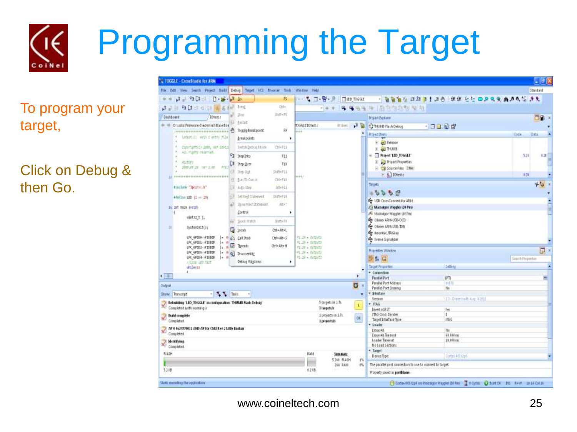# Programming the Target

To program your target,

Click on Debug & then Go.

| <b>1002E - CresiStadio for ARM</b>                                                                                                                                                                                                            |                               |                    |                                                     |                  |                                                               |                                    |                  | - 86           |  |  |
|-----------------------------------------------------------------------------------------------------------------------------------------------------------------------------------------------------------------------------------------------|-------------------------------|--------------------|-----------------------------------------------------|------------------|---------------------------------------------------------------|------------------------------------|------------------|----------------|--|--|
| No. Edit View Search Project Build Debug Tirget VC Browler Tirds                                                                                                                                                                              |                               |                    | Window Help                                         |                  |                                                               |                                    |                  | Standard       |  |  |
| J 90 10 20 30                                                                                                                                                                                                                                 |                               | FS:                | 一 二 日 啓 良                                           | <b>END</b> TOGGE |                                                               | - 福岡省な ほほき! ほき (年度を社 四足虫臭 最適な) きえ  |                  |                |  |  |
| はまま なほさなお 関東神社 166                                                                                                                                                                                                                            |                               | Ctd+               | $-16$                                               |                  | <b>キ キもも キ (おもななも) なな</b>                                     |                                    |                  |                |  |  |
| <b>Digitions</b><br><b>IDten:</b>                                                                                                                                                                                                             | 24                            | $B \wedge B + F E$ |                                                     |                  | <b>Roject Explane</b>                                         |                                    |                  | OB.            |  |  |
| Drughs Finnuare checks at Base Box                                                                                                                                                                                                            | letat                         |                    | DGGEEDtest.c<br><b>AT lees</b>                      | 資産               | <b>C</b> INJIE Fish Debug                                     | $-0.99$                            |                  |                |  |  |
|                                                                                                                                                                                                                                               |                               | FF                 | $+ + +$                                             | ٠                |                                                               |                                    |                  |                |  |  |
| UNIT-II NO CHES FUL                                                                                                                                                                                                                           | Breakpoints                   | ٠                  |                                                     |                  | <b>Roject Rests</b>                                           |                                    | Code             | Data           |  |  |
| Copyrightycy and, me device                                                                                                                                                                                                                   | Initzli@drug.bbide            | CHHF11             |                                                     |                  | <b>E and Release</b>                                          |                                    |                  |                |  |  |
| all rights reserved.                                                                                                                                                                                                                          |                               |                    |                                                     |                  | * al HAB<br>$\equiv$ $\Box$ Project LED TOGGLE                |                                    |                  | 4週目            |  |  |
| <b>History</b>                                                                                                                                                                                                                                | 3 Step Into                   | F12                |                                                     |                  | E all Project Properties                                      |                                    | 510              |                |  |  |
| 1089.07.28 hm1.1.88                                                                                                                                                                                                                           | а<br>: Step Over              | FIF                |                                                     |                  | E Cal Source Files (2500)                                     |                                    |                  |                |  |  |
|                                                                                                                                                                                                                                               | Step Out                      | 如形印                |                                                     |                  | $+ 1$ Khets                                                   |                                    | 6.38             |                |  |  |
| <b>LL @EDISTRIDERSITESISIONSISTERIDI</b>                                                                                                                                                                                                      | <b>C Em Scanar</b>            | Chi+F1E            | $(1 + 1)$                                           |                  |                                                               |                                    |                  |                |  |  |
| stachase "Ipc17cc.k"                                                                                                                                                                                                                          | E. Auto the                   | 动中土                |                                                     |                  | Targets:                                                      | $+$ $\circ$                        |                  |                |  |  |
|                                                                                                                                                                                                                                               | Ð<br><b>Settled Statement</b> | $S187 + F11$       |                                                     |                  | 0.960                                                         |                                    |                  |                |  |  |
| #derline LED (1 ++ 29)                                                                                                                                                                                                                        |                               |                    |                                                     |                  | OF USB CrassCannect for ARM                                   |                                    |                  |                |  |  |
| 16.1nt most (1010)                                                                                                                                                                                                                            | Show West Statement           | Wb <sup>+</sup>    |                                                     |                  | 75 Macratger Wiggler (20 Pin)<br>A Macraigor Wiggler (14 Pin) |                                    |                  |                |  |  |
| untiz t j.                                                                                                                                                                                                                                    | Control                       | ٠                  |                                                     |                  |                                                               |                                    |                  |                |  |  |
|                                                                                                                                                                                                                                               | <b>TOOL RIVER</b>             | $3101 + 41$        |                                                     |                  | Ge Olive ARIA USB-OCD                                         |                                    |                  |                |  |  |
| Bystendait();                                                                                                                                                                                                                                 | $\sqrt{2}$ locals             | Cole Mont          |                                                     |                  | C Oken ANA-USA-TIO                                            |                                    |                  |                |  |  |
| UK GPER-STARK                                                                                                                                                                                                                                 | $-125.01244$                  | Dri+AR+5           | 社会を訴訟                                               |                  | <b>Get American Flickling</b>                                 |                                    |                  |                |  |  |
| LPC SPIEL- FIREP                                                                                                                                                                                                                              | a desti                       | Ori+Atr+H1         | 红莲+血加红                                              |                  | <b>De</b> Tyme Spratce                                        |                                    |                  |                |  |  |
| LPC_GP303- IF31009                                                                                                                                                                                                                            |                               |                    | <b>PELSIE &amp; JINTER</b><br>$21.38 \times 0.0222$ |                  | Properties at indow                                           |                                    |                  | $\overline{a}$ |  |  |
| IPC SPES->FINDE<br>$1 - 8$<br><b>Q</b> Disassembly<br>LPC SP204-H10009<br>$ + $                                                                                                                                                               |                               |                    | P1-29 = 04tpst1                                     |                  | 11日                                                           |                                    | Sauch Properties |                |  |  |
| Warre Life Not                                                                                                                                                                                                                                | Debug Wigdaws                 |                    |                                                     |                  |                                                               | Settles                            |                  |                |  |  |
| 4620(1)                                                                                                                                                                                                                                       |                               |                    |                                                     |                  | <b>Taiget Properties</b><br>* Connoction                      |                                    |                  |                |  |  |
| $\mathbf{X}$                                                                                                                                                                                                                                  |                               |                    |                                                     |                  | <b>Paradial Port</b>                                          | <b>LPTL</b>                        |                  |                |  |  |
| <b>Cutzut</b>                                                                                                                                                                                                                                 |                               |                    |                                                     | G                | Parallel Port Address                                         | <b>TKT31</b>                       |                  |                |  |  |
| - Bacher Bills<br>Dirwy: Traveright                                                                                                                                                                                                           |                               |                    |                                                     |                  | Parallel Port Sharing<br>* Interlace                          | Ns                                 |                  |                |  |  |
|                                                                                                                                                                                                                                               |                               |                    |                                                     |                  | Version                                                       | 11 Circlink Aug 1201               |                  |                |  |  |
| Exhalt@ng 'LED_RIGGLE' in restigatation: THUMB Flash Debug<br>Consided juth warnings                                                                                                                                                          |                               |                    | 5 targets in 1.7s<br>3 targets/i                    | 1                | $+10.6$                                                       |                                    |                  |                |  |  |
|                                                                                                                                                                                                                                               |                               |                    |                                                     |                  | T292s Sevid<br>ITAS Crod: Divoder                             | 1m<br>×                            |                  |                |  |  |
| <b>Build</b> complete<br>Completed                                                                                                                                                                                                            |                               |                    | 1 projects in 1.7c.<br>I projectury                 | OK               | Target Interface Tipe                                         | FM <sub>2</sub>                    |                  |                |  |  |
|                                                                                                                                                                                                                                               |                               |                    |                                                     |                  | * Loader                                                      |                                    |                  |                |  |  |
| AP # #x2477W11 AHD: AP for CM3 Rev 2 Little Endian<br>Completed                                                                                                                                                                               |                               |                    |                                                     |                  | Erase AB<br>Erace All Timeout                                 | <b>H</b> <sub>i</sub><br>68.900 mi |                  |                |  |  |
|                                                                                                                                                                                                                                               |                               |                    |                                                     |                  | <b>Loader Twent</b>                                           | 19,890 mm                          |                  |                |  |  |
| $\begin{tabular}{ c c } \hline \quad \quad & \quad \quad & \quad \quad & \quad \quad \\ \hline \quad \quad & \quad \quad & \quad \quad & \quad \quad \\ \hline \quad \quad & \quad \quad & \quad \quad & \quad \quad \\ \hline \end{tabular}$ |                               |                    |                                                     |                  | No Load Sections                                              |                                    |                  |                |  |  |
| FLASH                                                                                                                                                                                                                                         |                               |                    | RAM<br>SUBURALE                                     |                  | * Taget                                                       |                                    |                  |                |  |  |
|                                                                                                                                                                                                                                               |                               |                    | 5.266 FLASH                                         | $1\%$            | Device Type                                                   | Lorber M3 Kipf                     |                  |                |  |  |
|                                                                                                                                                                                                                                               |                               |                    | 268.8888                                            | es.              | The parallel port connection to use to connect to target.     |                                    |                  |                |  |  |
| 5.318                                                                                                                                                                                                                                         |                               |                    | 0.2 KB                                              |                  | Property isred as portfilame.                                 |                                    |                  |                |  |  |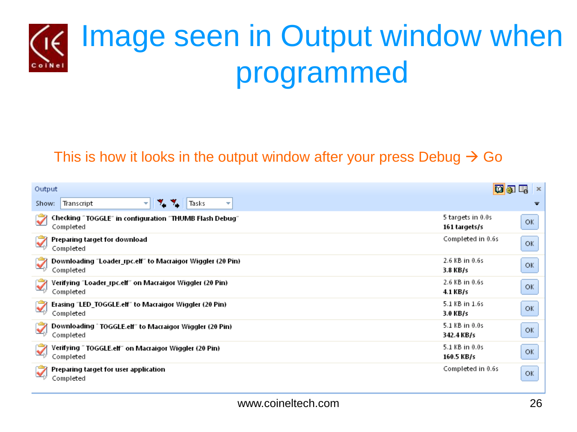

#### This is how it looks in the output window after your press Debug  $\rightarrow$  Go

| Output                                                                     | d 5                                | $\boldsymbol{\chi}$ |
|----------------------------------------------------------------------------|------------------------------------|---------------------|
| Tasks<br>Transcript<br>т.<br>Show:<br>74<br>v.<br>$\overline{\phantom{a}}$ |                                    | ≂                   |
| Checking "TOGGLE" in configuration "THUMB Flash Debug"<br>Completed        | 5 targets in 0.0s<br>161 targets/s | OK                  |
| Preparing target for download<br>Completed                                 | Completed in 0.6s                  | OK                  |
| Downloading "Loader_rpc.elf" to Macraigor Wiggler (20 Pin)  <br>Completed  | 2.6 KB in 0.6s<br>3.8 KB/s         | OK                  |
| Verifying "Loader_rpc.elf" on Macraigor Wiggler (20 Pin).<br>Completed     | 2.6 KB in 0.6s<br>4.1 KB/s         | OK                  |
| Erasing "LED_TOGGLE.elf" to Macraigor Wiggler (20 Pin)<br>Completed        | 5.1 KB in 1.6s<br>3.0 KB/s         | OK                  |
| Downloading ^ TOGGLE.elf" to Macraigor Wiggler (20 Pin)<br>Completed       | 5.1 KB in 0.0s<br>342.4 KB/s       | OK                  |
| Verifying " TOGGLE.elf" on Macraigor Wiggler (20 Pin)<br>Completed         | 5.1 KB in 0.0s<br>160.5 KB/s       | OK                  |
| Preparing target for user application<br>Completed                         | Completed in 0.6s                  | OK                  |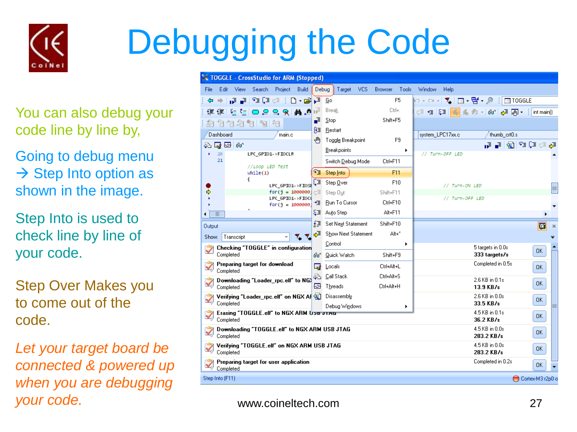

## Debugging the Code

You can also debug your code line by line by,

Going to debug menu  $\rightarrow$  Step Into option as shown in the image.

Step Into is used to check line by line of your code.

Step Over Makes you to come out of the code.

*Let your target board be connected & powered up when you are debugging your code.*

|                                                       |                                                           |            |                                           |        | <b>X TOGGLE</b> - CrossStudio for ARM (Stopped)                     |       |                     |            |                |       |                                   |           |                 |                                           |                |                     |
|-------------------------------------------------------|-----------------------------------------------------------|------------|-------------------------------------------|--------|---------------------------------------------------------------------|-------|---------------------|------------|----------------|-------|-----------------------------------|-----------|-----------------|-------------------------------------------|----------------|---------------------|
| File                                                  |                                                           | Edit View  |                                           |        | Search Project Build                                                | Debug | Target              | <b>VCS</b> | Browser        | Tools | Window                            | Help      |                 |                                           |                |                     |
| ⇔                                                     | ۰                                                         | 교교비        | $\mathbb{F}_\mathbb{Z}$ of $\mathbb{Z}^2$ | -11    | $\begin{array}{ccc}\n\Box & \Box & \Box & \Box & \Box\n\end{array}$ |       |                     |            | F <sub>5</sub> |       | ▶ - ∾ -│ ९ │ ⊠ - ਉ - タ ┊│⊠ TOGGLE |           |                 |                                           |                |                     |
|                                                       | 植银                                                        |            |                                           |        | \$ & R R Q O E                                                      | πĒ    | Break               |            | Ctrl+.         |       |                                   |           |                 | 「ミセ 年 <mark>る</mark> る た -   66   ♪ 画 ・ : | int main()     |                     |
|                                                       |                                                           |            | 和伯伯和帕阿帕                                   |        |                                                                     | ē     | Stop                |            | Shift+F5       |       |                                   |           |                 |                                           |                |                     |
|                                                       | Dashboard                                                 |            |                                           |        |                                                                     | Ρ≣    | Restart             |            |                |       |                                   |           |                 |                                           |                |                     |
|                                                       |                                                           |            |                                           | main.c |                                                                     | ê     | Toggle Breakpoint   |            | F9             |       | system LPC17xx.c                  |           |                 | thumb crt0.s                              |                |                     |
|                                                       | 20                                                        | 45.58.64   | LPC_GPI01->FI0CLR                         |        |                                                                     |       | <b>Breakpoints</b>  |            |                |       | // Turn-OFF LED                   |           |                 |                                           | 한 한 다 조 (화 한 번 |                     |
|                                                       | 21                                                        |            |                                           |        |                                                                     |       | Switch Debug Mode   |            | Ctrl+F11       |       |                                   |           |                 |                                           |                |                     |
|                                                       |                                                           |            | //Loop LED Test<br>while(1)               |        |                                                                     | फ∎    | Step Into           |            | F11            |       |                                   |           |                 |                                           |                |                     |
|                                                       |                                                           |            | ſ                                         |        |                                                                     | Œ     | Step Over           |            | F10            |       |                                   |           |                 |                                           |                |                     |
|                                                       |                                                           |            |                                           |        | LPC GPI01->FI0SE<br>$for(j = 1000000)$                              | Œ     | Step Out            |            | Shift+F11      |       |                                   |           | // Turn-ON LED  |                                           |                | ≣                   |
|                                                       |                                                           |            |                                           |        | LPC_GPI01->FI0C                                                     |       | + Bun To Curson     |            | Ctrl+F10       |       |                                   |           | // Turn-OFF LED |                                           |                |                     |
| ۰                                                     | W                                                         |            |                                           |        | $for(i = 1000000$                                                   |       | 是国 Auto Step        |            | Alt+F11        |       |                                   |           |                 |                                           |                |                     |
|                                                       |                                                           |            |                                           |        |                                                                     | £₹    | Set Next Statement  |            | Shift+F10      |       |                                   |           |                 |                                           |                |                     |
| <b>Output</b>                                         |                                                           |            |                                           |        |                                                                     | ৻৵৾   | Show Next Statement |            | Alt+*          |       |                                   |           |                 |                                           | 面              | $\boldsymbol{\chi}$ |
| Show:                                                 |                                                           | Transcript |                                           |        | ٧.                                                                  |       | Control             |            |                | ٠     |                                   |           |                 |                                           |                |                     |
|                                                       |                                                           | Completed  |                                           |        | Checking "TOGGLE" in configuration                                  | 66    | Quick Watch         |            | Shift+F9       |       |                                   |           |                 | 5 targets in 0.0s<br>333 targets/s        | 0K             |                     |
|                                                       |                                                           | Completed  | Preparing target for download             |        |                                                                     | ⊡     | Locals              |            | Ctrl+Alt+L     |       |                                   |           |                 | Completed in 0.5s                         | 0K             |                     |
|                                                       |                                                           |            |                                           |        | Downloading "Loader_rpc.elf" to NG>                                 | æ.    | Call Stack          |            | Ctrl+Alt+S     |       |                                   |           |                 | 2.6 KB in 0.1s                            |                |                     |
|                                                       |                                                           | Completed  |                                           |        |                                                                     | ନ     | Threads             |            | Ctrl+Alt+H     |       |                                   |           |                 | $13.9$ KB/s                               | 0K             |                     |
|                                                       |                                                           |            |                                           |        | Verifying "Loader_rpc.elf" on NGX AF                                |       | Disassembly         |            |                |       |                                   |           |                 | 2.6 KB in 0.0s                            | 0K             |                     |
| Completed<br>Erasing "TOGGLE.elf" to NGX ARM USB JTAG |                                                           |            |                                           |        |                                                                     |       | Debug Windows       |            |                |       |                                   | 33.5 KB/s |                 |                                           |                |                     |
|                                                       |                                                           | Completed  |                                           |        |                                                                     |       |                     |            |                |       |                                   |           |                 | 4.5 KB in 0.1s<br>36.2 KB/s               | 0K             |                     |
|                                                       | Downloading "TOGGLE.elf" to NGX ARM USB JTAG<br>Completed |            |                                           |        |                                                                     |       |                     |            |                |       |                                   |           |                 | 4.5 KB in 0.0s<br>283.2 KB/s              | 0K             |                     |
|                                                       | Verifying "TOGGLE.elf" on NGX ARM USB JTAG                |            |                                           |        |                                                                     |       |                     |            |                |       |                                   |           |                 | 4.5 KB in 0.0s                            | <b>OK</b>      |                     |
|                                                       |                                                           | Completed  |                                           |        |                                                                     |       |                     |            |                |       |                                   |           |                 | 283.2 KB/s                                |                |                     |
|                                                       |                                                           | Completed  | Preparing target for user application     |        |                                                                     |       |                     |            |                |       |                                   |           |                 | Completed in 0.2s                         | <b>OK</b>      |                     |
|                                                       | Step Into (F11)<br>Cortex-M3 r2p0 o                       |            |                                           |        |                                                                     |       |                     |            |                |       |                                   |           |                 |                                           |                |                     |
|                                                       |                                                           |            |                                           |        |                                                                     |       |                     |            |                |       |                                   |           |                 |                                           |                |                     |